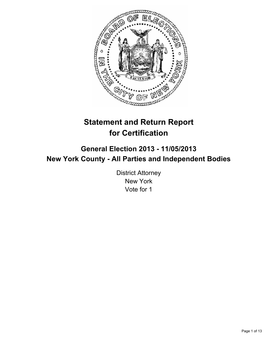

# **Statement and Return Report for Certification**

# **General Election 2013 - 11/05/2013 New York County - All Parties and Independent Bodies**

District Attorney New York Vote for 1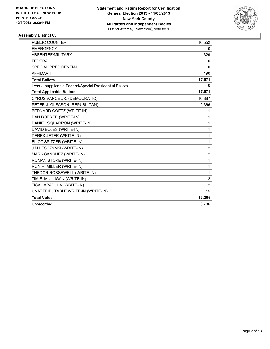

| PUBLIC COUNTER                                           | 16,552         |
|----------------------------------------------------------|----------------|
| <b>EMERGENCY</b>                                         | 0              |
| ABSENTEE/MILITARY                                        | 329            |
| <b>FEDERAL</b>                                           | 0              |
| <b>SPECIAL PRESIDENTIAL</b>                              | $\Omega$       |
| <b>AFFIDAVIT</b>                                         | 190            |
| <b>Total Ballots</b>                                     | 17,071         |
| Less - Inapplicable Federal/Special Presidential Ballots | 0              |
| <b>Total Applicable Ballots</b>                          | 17,071         |
| CYRUS VANCE JR. (DEMOCRATIC)                             | 10,887         |
| PETER J. GLEASON (REPUBLICAN)                            | 2,366          |
| <b>BERNARD GOETZ (WRITE-IN)</b>                          | 1              |
| DAN BOERER (WRITE-IN)                                    | 1              |
| DANIEL SQUADRON (WRITE-IN)                               | 1              |
| DAVID BOJES (WRITE-IN)                                   | $\mathbf{1}$   |
| DEREK JETER (WRITE-IN)                                   | $\mathbf{1}$   |
| ELIOT SPITZER (WRITE-IN)                                 | $\mathbf{1}$   |
| JIM LESCZYNKI (WRITE-IN)                                 | $\overline{2}$ |
| MARK SANCHEZ (WRITE-IN)                                  | $\overline{c}$ |
| ROMAN STOKE (WRITE-IN)                                   | $\mathbf{1}$   |
| RON R. MILLER (WRITE-IN)                                 | 1              |
| THEDOR ROSSEWELL (WRITE-IN)                              | 1              |
| TIM F. MULLIGAN (WRITE-IN)                               | $\overline{2}$ |
| TISA LAPADULA (WRITE-IN)                                 | $\overline{2}$ |
| UNATTRIBUTABLE WRITE-IN (WRITE-IN)                       | 15             |
| <b>Total Votes</b>                                       | 13,285         |
| Unrecorded                                               | 3,786          |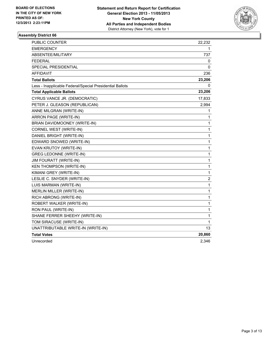

| <b>PUBLIC COUNTER</b>                                    | 22,232      |
|----------------------------------------------------------|-------------|
| <b>EMERGENCY</b>                                         | 1           |
| ABSENTEE/MILITARY                                        | 737         |
| <b>FEDERAL</b>                                           | 0           |
| SPECIAL PRESIDENTIAL                                     | 0           |
| <b>AFFIDAVIT</b>                                         | 236         |
| <b>Total Ballots</b>                                     | 23,206      |
| Less - Inapplicable Federal/Special Presidential Ballots | 0           |
| <b>Total Applicable Ballots</b>                          | 23,206      |
| CYRUS VANCE JR. (DEMOCRATIC)                             | 17,833      |
| PETER J. GLEASON (REPUBLICAN)                            | 2,994       |
| ANNE MILGRAN (WRITE-IN)                                  | 1           |
| ARRON PAGE (WRITE-IN)                                    | 1           |
| BRIAN DAVIDMOONEY (WRITE-IN)                             | 1           |
| CORNEL WEST (WRITE-IN)                                   | 1           |
| DANIEL BRIGHT (WRITE-IN)                                 | 1           |
| EDWARD SNOWED (WRITE-IN)                                 | 1           |
| EVAN KRUTOY (WRITE-IN)                                   | $\mathbf 1$ |
| <b>GREG LEDONNE (WRITE-IN)</b>                           | 1           |
| <b>JIM FOURATT (WRITE-IN)</b>                            | 1           |
| <b>KEN THOMPSON (WRITE-IN)</b>                           | 1           |
| KIMANI GREY (WRITE-IN)                                   | 1           |
| LESLIE C. SNYDER (WRITE-IN)                              | 2           |
| LUIS MARMAN (WRITE-IN)                                   | 1           |
| MERLIN MILLER (WRITE-IN)                                 | 1           |
| RICH ABRONG (WRITE-IN)                                   | 1           |
| ROBERT WALKER (WRITE-IN)                                 | 1           |
| RON PAUL (WRITE-IN)                                      | 1           |
| SHANE FERRER SHEEHY (WRITE-IN)                           | 1           |
| TOM SIRACUSE (WRITE-IN)                                  | 1           |
| UNATTRIBUTABLE WRITE-IN (WRITE-IN)                       | 13          |
| <b>Total Votes</b>                                       | 20,860      |
| Unrecorded                                               | 2,346       |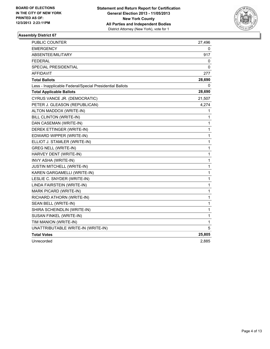

| <b>PUBLIC COUNTER</b>                                    | 27,496       |
|----------------------------------------------------------|--------------|
| <b>EMERGENCY</b>                                         | 0            |
| <b>ABSENTEE/MILITARY</b>                                 | 917          |
| <b>FEDERAL</b>                                           | 0            |
| SPECIAL PRESIDENTIAL                                     | 0            |
| <b>AFFIDAVIT</b>                                         | 277          |
| <b>Total Ballots</b>                                     | 28,690       |
| Less - Inapplicable Federal/Special Presidential Ballots | 0            |
| <b>Total Applicable Ballots</b>                          | 28,690       |
| CYRUS VANCE JR. (DEMOCRATIC)                             | 21,507       |
| PETER J. GLEASON (REPUBLICAN)                            | 4,274        |
| ALTON MADDOX (WRITE-IN)                                  | 1            |
| BILL CLINTON (WRITE-IN)                                  | 1            |
| DAN CASEMAN (WRITE-IN)                                   | 1            |
| DEREK ETTINGER (WRITE-IN)                                | 1            |
| EDWARD WIPPER (WRITE-IN)                                 | 1            |
| ELLIOT J. STAMLER (WRITE-IN)                             | 1            |
| <b>GREG NELL (WRITE-IN)</b>                              | $\mathbf 1$  |
| HARVEY DENT (WRITE-IN)                                   | 1            |
| INVY ASHA (WRITE-IN)                                     | 1            |
| JUSTIN MITCHELL (WRITE-IN)                               | 1            |
| KAREN GARGAMELLI (WRITE-IN)                              | 1            |
| LESLIE C. SNYDER (WRITE-IN)                              | 1            |
| LINDA FAIRSTEIN (WRITE-IN)                               | 1            |
| <b>MARK PICARD (WRITE-IN)</b>                            | 1            |
| RICHARD ATHORN (WRITE-IN)                                | 1            |
| SEAN BELL (WRITE-IN)                                     | 1            |
| SHIRA SCHEINDLIN (WRITE-IN)                              | $\mathbf{1}$ |
| SUSAN FINKEL (WRITE-IN)                                  | $\mathbf{1}$ |
| TIM MANION (WRITE-IN)                                    | 1            |
| UNATTRIBUTABLE WRITE-IN (WRITE-IN)                       | 5            |
| <b>Total Votes</b>                                       | 25,805       |
| Unrecorded                                               | 2,885        |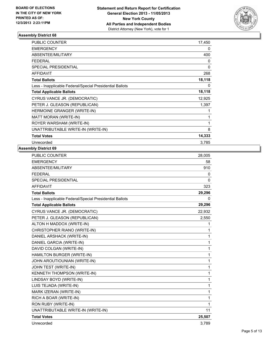

| <b>PUBLIC COUNTER</b>                                    | 17,450 |
|----------------------------------------------------------|--------|
| <b>EMERGENCY</b>                                         | 0      |
| ABSENTEE/MILITARY                                        | 400    |
| <b>FEDERAL</b>                                           | 0      |
| <b>SPECIAL PRESIDENTIAL</b>                              | 0      |
| <b>AFFIDAVIT</b>                                         | 268    |
| <b>Total Ballots</b>                                     | 18,118 |
| Less - Inapplicable Federal/Special Presidential Ballots | 0      |
| <b>Total Applicable Ballots</b>                          | 18,118 |
| CYRUS VANCE JR. (DEMOCRATIC)                             | 12,925 |
| PETER J. GLEASON (REPUBLICAN)                            | 1,397  |
| HERMOINE GRANGER (WRITE-IN)                              | 1      |
| MATT MORAN (WRITE-IN)                                    | 1      |
| ROYER WARSHAM (WRITE-IN)                                 | 1      |
| UNATTRIBUTABLE WRITE-IN (WRITE-IN)                       | 8      |
| <b>Total Votes</b>                                       | 14,333 |
| Unrecorded                                               | 3,785  |

| PUBLIC COUNTER                                           | 28,005       |
|----------------------------------------------------------|--------------|
| <b>EMERGENCY</b>                                         | 58           |
| ABSENTEE/MILITARY                                        | 910          |
| <b>FEDERAL</b>                                           | 0            |
| <b>SPECIAL PRESIDENTIAL</b>                              | $\mathbf{0}$ |
| <b>AFFIDAVIT</b>                                         | 323          |
| <b>Total Ballots</b>                                     | 29,296       |
| Less - Inapplicable Federal/Special Presidential Ballots | 0            |
| <b>Total Applicable Ballots</b>                          | 29,296       |
| CYRUS VANCE JR. (DEMOCRATIC)                             | 22,932       |
| PETER J. GLEASON (REPUBLICAN)                            | 2,550        |
| ALTON H MADDOX (WRITE-IN)                                | 1            |
| CHRISTOPHER RIANO (WRITE-IN)                             | 1            |
| DANIEL ARSHACK (WRITE-IN)                                | 1            |
| DANIEL GARCIA (WRITE-IN)                                 | 1            |
| DAVID COLGAN (WRITE-IN)                                  | 1            |
| HAMILTON BURGER (WRITE-IN)                               | 1            |
| JOHN AROUTIOUNIAN (WRITE-IN)                             | 1            |
| JOHN TEST (WRITE-IN)                                     | 1            |
| KENNETH THOMPSON (WRITE-IN)                              | 1            |
| LINDSAY BOYD (WRITE-IN)                                  | 1            |
| LUIS TEJADA (WRITE-IN)                                   | 1            |
| MARK IZERAN (WRITE-IN)                                   | 1            |
| RICH A BOAR (WRITE-IN)                                   | 1            |
| RON RUBY (WRITE-IN)                                      | 1            |
| UNATTRIBUTABLE WRITE-IN (WRITE-IN)                       | 11           |
| <b>Total Votes</b>                                       | 25,507       |
| Unrecorded                                               | 3,789        |
|                                                          |              |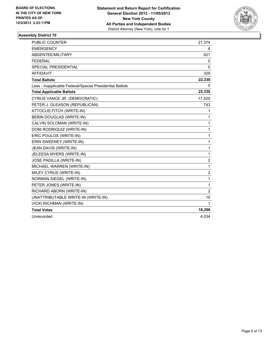

| <b>PUBLIC COUNTER</b>                                    | 21,374         |
|----------------------------------------------------------|----------------|
| <b>EMERGENCY</b>                                         | 6              |
| ABSENTEE/MILITARY                                        | 621            |
| <b>FEDERAL</b>                                           | 0              |
| <b>SPECIAL PRESIDENTIAL</b>                              | $\mathbf{0}$   |
| <b>AFFIDAVIT</b>                                         | 329            |
| <b>Total Ballots</b>                                     | 22,330         |
| Less - Inapplicable Federal/Special Presidential Ballots | 0              |
| <b>Total Applicable Ballots</b>                          | 22,330         |
| CYRUS VANCE JR. (DEMOCRATIC)                             | 17,520         |
| PETER J. GLEASON (REPUBLICAN)                            | 743            |
| ATTOCUS FITCH (WRITE-IN)                                 | 1              |
| BEBIN DOUGLAS (WRITE-IN)                                 | 1              |
| CALVIN SOLOMAN (WRITE-IN)                                | 1              |
| DONI RODRIQUIZ (WRITE-IN)                                | 1              |
| ERIC POULOS (WRITE-IN)                                   | $\mathbf{1}$   |
| ERIN SWEENEY (WRITE-IN)                                  | $\mathbf{1}$   |
| JEAN DAVIS (WRITE-IN)                                    | $\mathbf{1}$   |
| JELEESA MYERS (WRITE-IN)                                 | $\mathbf{1}$   |
| <b>JOSE PADILLA (WRITE-IN)</b>                           | 2              |
| MICHAEL WARREN (WRITE-IN)                                | $\mathbf{1}$   |
| MILEY CYRUS (WRITE-IN)                                   | $\overline{c}$ |
| NORMAN SIEGEL (WRITE-IN)                                 | 1              |
| PETER JONES (WRITE-IN)                                   | $\mathbf{1}$   |
| RICHARD ABORN (WRITE-IN)                                 | $\overline{2}$ |
| UNATTRIBUTABLE WRITE-IN (WRITE-IN)                       | 15             |
| <b>VICKI RICHMAN (WRITE-IN)</b>                          | 1              |
| <b>Total Votes</b>                                       | 18,296         |
| Unrecorded                                               | 4,034          |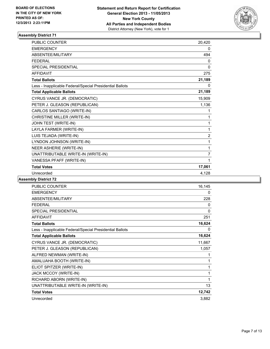

| PUBLIC COUNTER                                           | 20,420         |
|----------------------------------------------------------|----------------|
| <b>EMERGENCY</b>                                         | 0              |
| ABSENTEE/MILITARY                                        | 494            |
| <b>FEDERAL</b>                                           | 0              |
| <b>SPECIAL PRESIDENTIAL</b>                              | $\mathbf{0}$   |
| <b>AFFIDAVIT</b>                                         | 275            |
| <b>Total Ballots</b>                                     | 21,189         |
| Less - Inapplicable Federal/Special Presidential Ballots | 0              |
| <b>Total Applicable Ballots</b>                          | 21,189         |
| CYRUS VANCE JR. (DEMOCRATIC)                             | 15,909         |
| PETER J. GLEASON (REPUBLICAN)                            | 1,136          |
| CARLOS SANTIAGO (WRITE-IN)                               | 1              |
| CHRISTINE MILLER (WRITE-IN)                              | 1              |
| JOHN TEST (WRITE-IN)                                     | 1              |
| LAYLA FARMER (WRITE-IN)                                  | 1              |
| LUIS TEJADA (WRITE-IN)                                   | $\overline{2}$ |
| LYNDON JOHNSON (WRITE-IN)                                | 1              |
| NEER ASHERIE (WRITE-IN)                                  | 1              |
| UNATTRIBUTABLE WRITE-IN (WRITE-IN)                       | $\overline{7}$ |
| VANESSA PFAFF (WRITE-IN)                                 | 1              |
| <b>Total Votes</b>                                       | 17,061         |
| Unrecorded                                               | 4.128          |

| <b>PUBLIC COUNTER</b>                                    | 16,145 |
|----------------------------------------------------------|--------|
| <b>EMERGENCY</b>                                         | 0      |
| ABSENTEE/MILITARY                                        | 228    |
| <b>FEDERAL</b>                                           | 0      |
| <b>SPECIAL PRESIDENTIAL</b>                              | 0      |
| <b>AFFIDAVIT</b>                                         | 251    |
| <b>Total Ballots</b>                                     | 16,624 |
| Less - Inapplicable Federal/Special Presidential Ballots | 0      |
| <b>Total Applicable Ballots</b>                          | 16,624 |
| CYRUS VANCE JR. (DEMOCRATIC)                             | 11,667 |
| PETER J. GLEASON (REPUBLICAN)                            | 1,057  |
| ALFRED NEWMAN (WRITE-IN)                                 | 1      |
| AMALUAHA BOOTH (WRITE-IN)                                | 1      |
| ELIOT SPITZER (WRITE-IN)                                 | 1      |
| JACK MCCOY (WRITE-IN)                                    | 1      |
| RICHARD ABORN (WRITE-IN)                                 | 1      |
| UNATTRIBUTABLE WRITE-IN (WRITE-IN)                       | 13     |
| <b>Total Votes</b>                                       | 12,742 |
| Unrecorded                                               | 3,882  |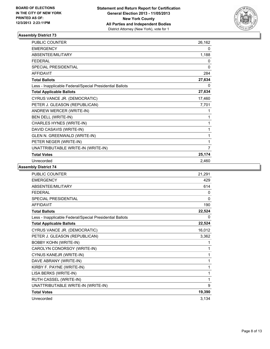

| <b>PUBLIC COUNTER</b>                                    | 26,162 |
|----------------------------------------------------------|--------|
| <b>EMERGENCY</b>                                         | 0      |
| ABSENTEE/MILITARY                                        | 1,188  |
| <b>FEDERAL</b>                                           | 0      |
| <b>SPECIAL PRESIDENTIAL</b>                              | 0      |
| <b>AFFIDAVIT</b>                                         | 284    |
| <b>Total Ballots</b>                                     | 27,634 |
| Less - Inapplicable Federal/Special Presidential Ballots | 0      |
| <b>Total Applicable Ballots</b>                          | 27,634 |
| CYRUS VANCE JR. (DEMOCRATIC)                             | 17,460 |
| PETER J. GLEASON (REPUBLICAN)                            | 7,701  |
| ANDREW MERCER (WRITE-IN)                                 | 1      |
| BEN DELL (WRITE-IN)                                      | 1      |
| CHARLES HYNES (WRITE-IN)                                 | 1      |
| DAVID CASAVIS (WRITE-IN)                                 | 1      |
| GLEN N. GREENWALD (WRITE-IN)                             | 1      |
| PETER NEGER (WRITE-IN)                                   | 1      |
| UNATTRIBUTABLE WRITE-IN (WRITE-IN)                       | 7      |
| <b>Total Votes</b>                                       | 25,174 |
| Unrecorded                                               | 2,460  |

| <b>PUBLIC COUNTER</b>                                    | 21,291 |
|----------------------------------------------------------|--------|
| <b>EMERGENCY</b>                                         | 429    |
| <b>ABSENTEE/MILITARY</b>                                 | 614    |
| <b>FEDERAL</b>                                           | 0      |
| <b>SPECIAL PRESIDENTIAL</b>                              | 0      |
| <b>AFFIDAVIT</b>                                         | 190    |
| <b>Total Ballots</b>                                     | 22,524 |
| Less - Inapplicable Federal/Special Presidential Ballots | 0      |
| <b>Total Applicable Ballots</b>                          | 22,524 |
| CYRUS VANCE JR. (DEMOCRATIC)                             | 16,012 |
| PETER J. GLEASON (REPUBLICAN)                            | 3,362  |
| <b>BOBBY KOHN (WRITE-IN)</b>                             | 1      |
| CAROLYN CONORSOY (WRITE-IN)                              | 1      |
| CYNUS KANEJR (WRITE-IN)                                  | 1      |
| DAVE ABRANY (WRITE-IN)                                   | 1      |
| KIRBY F. PAYNE (WRITE-IN)                                | 1      |
| LISA BERKS (WRITE-IN)                                    | 1      |
| RUTH CASSEL (WRITE-IN)                                   | 1      |
| UNATTRIBUTABLE WRITE-IN (WRITE-IN)                       | 9      |
| <b>Total Votes</b>                                       | 19,390 |
| Unrecorded                                               | 3,134  |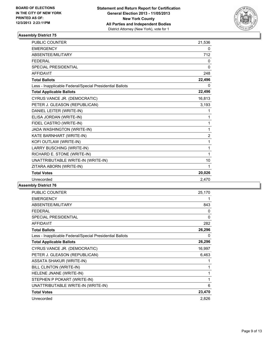

| <b>PUBLIC COUNTER</b>                                    | 21,536         |
|----------------------------------------------------------|----------------|
| <b>EMERGENCY</b>                                         | 0              |
| ABSENTEE/MILITARY                                        | 712            |
| <b>FEDERAL</b>                                           | 0              |
| <b>SPECIAL PRESIDENTIAL</b>                              | 0              |
| <b>AFFIDAVIT</b>                                         | 248            |
| <b>Total Ballots</b>                                     | 22,496         |
| Less - Inapplicable Federal/Special Presidential Ballots | 0              |
| <b>Total Applicable Ballots</b>                          | 22,496         |
| CYRUS VANCE JR. (DEMOCRATIC)                             | 16,813         |
| PETER J. GLEASON (REPUBLICAN)                            | 3,193          |
| DANIEL LEITER (WRITE-IN)                                 | 1              |
| ELISA JORDAN (WRITE-IN)                                  | 1              |
| FIDEL CASTRO (WRITE-IN)                                  | 1              |
| JADA WASHINGTON (WRITE-IN)                               | 1              |
| KATE BARNHART (WRITE-IN)                                 | $\overline{2}$ |
| KOFI OUTLAW (WRITE-IN)                                   | 1              |
| LARRY BUSCHING (WRITE-IN)                                | 1              |
| RICHARD E. STONE (WRITE-IN)                              | 1              |
| UNATTRIBUTABLE WRITE-IN (WRITE-IN)                       | 10             |
| ZITARA ABORN (WRITE-IN)                                  | 1              |
| <b>Total Votes</b>                                       | 20,026         |
| Unrecorded                                               | 2,470          |

| <b>PUBLIC COUNTER</b>                                    | 25,170 |
|----------------------------------------------------------|--------|
| <b>EMERGENCY</b>                                         | 1      |
| ABSENTEE/MILITARY                                        | 843    |
| <b>FEDERAL</b>                                           | 0      |
| <b>SPECIAL PRESIDENTIAL</b>                              | 0      |
| <b>AFFIDAVIT</b>                                         | 282    |
| <b>Total Ballots</b>                                     | 26,296 |
| Less - Inapplicable Federal/Special Presidential Ballots | 0      |
| <b>Total Applicable Ballots</b>                          | 26,296 |
| CYRUS VANCE JR. (DEMOCRATIC)                             | 16,997 |
| PETER J. GLEASON (REPUBLICAN)                            | 6,463  |
| <b>ASSATA SHAKUR (WRITE-IN)</b>                          | 1      |
| BILL CLINTON (WRITE-IN)                                  | 1      |
| HELENE JNANE (WRITE-IN)                                  | 1      |
| STEPHEN P POKART (WRITE-IN)                              | 1      |
| UNATTRIBUTABLE WRITE-IN (WRITE-IN)                       | 6      |
| <b>Total Votes</b>                                       | 23,470 |
| Unrecorded                                               | 2,826  |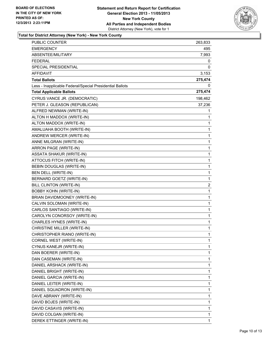

### **Total for District Attorney (New York) - New York County**

| <b>PUBLIC COUNTER</b>                                    | 263,833 |
|----------------------------------------------------------|---------|
| <b>EMERGENCY</b>                                         | 495     |
| ABSENTEE/MILITARY                                        | 7,993   |
| <b>FEDERAL</b>                                           | 0       |
| <b>SPECIAL PRESIDENTIAL</b>                              | 0       |
| AFFIDAVIT                                                | 3,153   |
| <b>Total Ballots</b>                                     | 275,474 |
| Less - Inapplicable Federal/Special Presidential Ballots | 0       |
| <b>Total Applicable Ballots</b>                          | 275,474 |
| CYRUS VANCE JR. (DEMOCRATIC)                             | 198,462 |
| PETER J. GLEASON (REPUBLICAN)                            | 37,236  |
| ALFRED NEWMAN (WRITE-IN)                                 | 1       |
| ALTON H MADDOX (WRITE-IN)                                | 1       |
| ALTON MADDOX (WRITE-IN)                                  | 1       |
| AMALUAHA BOOTH (WRITE-IN)                                | 1       |
| ANDREW MERCER (WRITE-IN)                                 | 1       |
| ANNE MILGRAN (WRITE-IN)                                  | 1       |
| ARRON PAGE (WRITE-IN)                                    | 1       |
| <b>ASSATA SHAKUR (WRITE-IN)</b>                          | 1       |
| ATTOCUS FITCH (WRITE-IN)                                 | 1       |
| BEBIN DOUGLAS (WRITE-IN)                                 | 1       |
| BEN DELL (WRITE-IN)                                      | 1       |
| BERNARD GOETZ (WRITE-IN)                                 | 1       |
| BILL CLINTON (WRITE-IN)                                  | 2       |
| <b>BOBBY KOHN (WRITE-IN)</b>                             | 1       |
| BRIAN DAVIDMOONEY (WRITE-IN)                             | 1       |
| CALVIN SOLOMAN (WRITE-IN)                                | 1       |
| CARLOS SANTIAGO (WRITE-IN)                               | 1       |
| CAROLYN CONORSOY (WRITE-IN)                              | 1       |
| CHARLES HYNES (WRITE-IN)                                 | 1       |
| CHRISTINE MILLER (WRITE-IN)                              | 1       |
| CHRISTOPHER RIANO (WRITE-IN)                             | 1       |
| CORNEL WEST (WRITE-IN)                                   | 1       |
| CYNUS KANEJR (WRITE-IN)                                  | 1       |
| DAN BOERER (WRITE-IN)                                    | 1       |
| DAN CASEMAN (WRITE-IN)                                   | 1       |
| DANIEL ARSHACK (WRITE-IN)                                | 1       |
| DANIEL BRIGHT (WRITE-IN)                                 | 1       |
| DANIEL GARCIA (WRITE-IN)                                 | 1       |
| DANIEL LEITER (WRITE-IN)                                 | 1       |
| DANIEL SQUADRON (WRITE-IN)                               | 1       |
| DAVE ABRANY (WRITE-IN)                                   | 1       |
| DAVID BOJES (WRITE-IN)                                   | 1       |
| DAVID CASAVIS (WRITE-IN)                                 | 1       |
| DAVID COLGAN (WRITE-IN)                                  | 1       |
| DEREK ETTINGER (WRITE-IN)                                | 1       |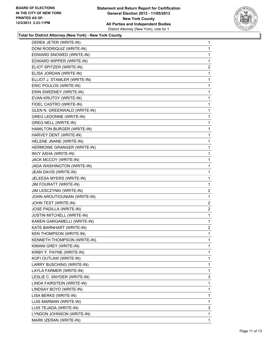

#### **Total for District Attorney (New York) - New York County**

| DEREK JETER (WRITE-IN)            | 1 |
|-----------------------------------|---|
| DONI RODRIQUIZ (WRITE-IN)         | 1 |
| EDWARD SNOWED (WRITE-IN)          | 1 |
| EDWARD WIPPER (WRITE-IN)          | 1 |
| ELIOT SPITZER (WRITE-IN)          | 2 |
| ELISA JORDAN (WRITE-IN)           | 1 |
| ELLIOT J. STAMLER (WRITE-IN)      | 1 |
| ERIC POULOS (WRITE-IN)            | 1 |
| ERIN SWEENEY (WRITE-IN)           | 1 |
| EVAN KRUTOY (WRITE-IN)            | 1 |
| FIDEL CASTRO (WRITE-IN)           | 1 |
| GLEN N. GREENWALD (WRITE-IN)      | 1 |
| <b>GREG LEDONNE (WRITE-IN)</b>    | 1 |
| <b>GREG NELL (WRITE-IN)</b>       | 1 |
| HAMILTON BURGER (WRITE-IN)        | 1 |
| HARVEY DENT (WRITE-IN)            | 1 |
| HELENE JNANE (WRITE-IN)           | 1 |
| HERMOINE GRANGER (WRITE-IN)       | 1 |
| INVY ASHA (WRITE-IN)              | 1 |
| JACK MCCOY (WRITE-IN)             | 1 |
| JADA WASHINGTON (WRITE-IN)        | 1 |
| JEAN DAVIS (WRITE-IN)             | 1 |
| JELEESA MYERS (WRITE-IN)          | 1 |
| JIM FOURATT (WRITE-IN)            | 1 |
| JIM LESCZYNKI (WRITE-IN)          | 2 |
| JOHN AROUTIOUNIAN (WRITE-IN)      | 1 |
| JOHN TEST (WRITE-IN)              | 2 |
| JOSE PADILLA (WRITE-IN)           | 2 |
| <b>JUSTIN MITCHELL (WRITE-IN)</b> | 1 |
| KAREN GARGAMELLI (WRITE-IN)       | 1 |
| KATE BARNHART (WRITE-IN)          | 2 |
| <b>KEN THOMPSON (WRITE-IN)</b>    | 1 |
| KENNETH THOMPSON (WRITE-IN)       | 1 |
| KIMANI GREY (WRITE-IN)            | 1 |
| KIRBY F. PAYNE (WRITE-IN)         | 1 |
| KOFI OUTLAW (WRITE-IN)            | 1 |
| LARRY BUSCHING (WRITE-IN)         | 1 |
| LAYLA FARMER (WRITE-IN)           | 1 |
| LESLIE C. SNYDER (WRITE-IN)       | 3 |
| LINDA FAIRSTEIN (WRITE-IN)        | 1 |
| LINDSAY BOYD (WRITE-IN)           | 1 |
| LISA BERKS (WRITE-IN)             | 1 |
| LUIS MARMAN (WRITE-IN)            | 1 |
| LUIS TEJADA (WRITE-IN)            | 3 |
| LYNDON JOHNSON (WRITE-IN)         |   |
|                                   | 1 |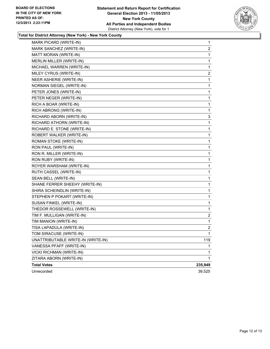

#### **Total for District Attorney (New York) - New York County**

| MARK PICARD (WRITE-IN)             | 1            |
|------------------------------------|--------------|
| MARK SANCHEZ (WRITE-IN)            | 2            |
| MATT MORAN (WRITE-IN)              | 1            |
| MERLIN MILLER (WRITE-IN)           | 1            |
| MICHAEL WARREN (WRITE-IN)          | 1            |
| MILEY CYRUS (WRITE-IN)             | $\mathbf{2}$ |
| NEER ASHERIE (WRITE-IN)            | 1            |
| NORMAN SIEGEL (WRITE-IN)           | 1            |
| PETER JONES (WRITE-IN)             | 1            |
| PETER NEGER (WRITE-IN)             | 1            |
| RICH A BOAR (WRITE-IN)             | 1            |
| RICH ABRONG (WRITE-IN)             | 1            |
| RICHARD ABORN (WRITE-IN)           | 3            |
| RICHARD ATHORN (WRITE-IN)          | 1            |
| RICHARD E. STONE (WRITE-IN)        | 1            |
| ROBERT WALKER (WRITE-IN)           | 1            |
| ROMAN STOKE (WRITE-IN)             | 1            |
| RON PAUL (WRITE-IN)                | 1            |
| RON R. MILLER (WRITE-IN)           | 1            |
| RON RUBY (WRITE-IN)                | 1            |
| ROYER WARSHAM (WRITE-IN)           | 1            |
| RUTH CASSEL (WRITE-IN)             | 1            |
| SEAN BELL (WRITE-IN)               | 1            |
| SHANE FERRER SHEEHY (WRITE-IN)     | 1            |
| SHIRA SCHEINDLIN (WRITE-IN)        | 1            |
| STEPHEN P POKART (WRITE-IN)        | 1            |
| SUSAN FINKEL (WRITE-IN)            | 1            |
| THEDOR ROSSEWELL (WRITE-IN)        | 1            |
| TIM F. MULLIGAN (WRITE-IN)         | 2            |
| TIM MANION (WRITE-IN)              | 1            |
| TISA LAPADULA (WRITE-IN)           | 2            |
| TOM SIRACUSE (WRITE-IN)            | 1            |
| UNATTRIBUTABLE WRITE-IN (WRITE-IN) | 119          |
| VANESSA PFAFF (WRITE-IN)           | 1            |
| VICKI RICHMAN (WRITE-IN)           | 1            |
| ZITARA ABORN (WRITE-IN)            | 1            |
| <b>Total Votes</b>                 | 235,949      |
| Unrecorded                         | 39,525       |